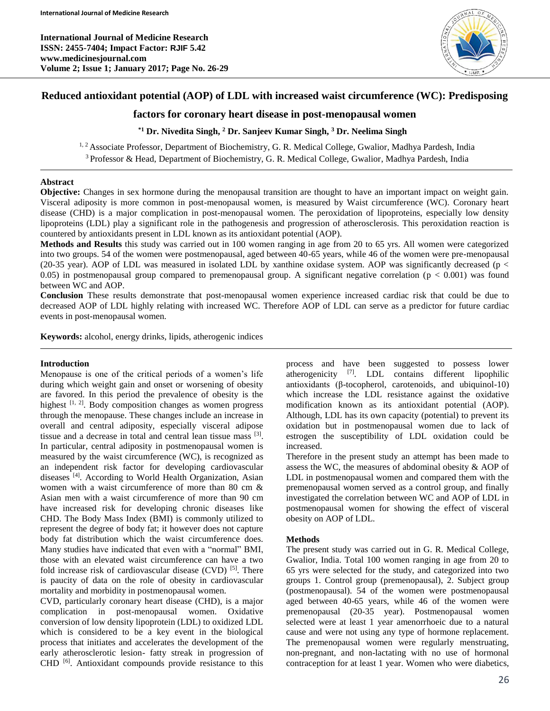

# **Reduced antioxidant potential (AOP) of LDL with increased waist circumference (WC): Predisposing**

## **factors for coronary heart disease in post-menopausal women**

## **\*1 Dr. Nivedita Singh, <sup>2</sup> Dr. Sanjeev Kumar Singh, <sup>3</sup> Dr. Neelima Singh**

<sup>1, 2</sup> Associate Professor, Department of Biochemistry, G. R. Medical College, Gwalior, Madhya Pardesh, India <sup>3</sup> Professor & Head, Department of Biochemistry, G. R. Medical College, Gwalior, Madhya Pardesh, India

### **Abstract**

**Objective:** Changes in sex hormone during the menopausal transition are thought to have an important impact on weight gain. Visceral adiposity is more common in post-menopausal women, is measured by Waist circumference (WC). Coronary heart disease (CHD) is a major complication in post-menopausal women. The peroxidation of lipoproteins, especially low density lipoproteins (LDL) play a significant role in the pathogenesis and progression of atherosclerosis. This peroxidation reaction is countered by antioxidants present in LDL known as its antioxidant potential (AOP).

**Methods and Results** this study was carried out in 100 women ranging in age from 20 to 65 yrs. All women were categorized into two groups. 54 of the women were postmenopausal, aged between 40-65 years, while 46 of the women were pre-menopausal (20-35 year). AOP of LDL was measured in isolated LDL by xanthine oxidase system. AOP was significantly decreased ( $p <$ 0.05) in postmenopausal group compared to premenopausal group. A significant negative correlation ( $p < 0.001$ ) was found between WC and AOP.

**Conclusion** These results demonstrate that post-menopausal women experience increased cardiac risk that could be due to decreased AOP of LDL highly relating with increased WC. Therefore AOP of LDL can serve as a predictor for future cardiac events in post-menopausal women.

**Keywords:** alcohol, energy drinks, lipids, atherogenic indices

### **Introduction**

Menopause is one of the critical periods of a women's life during which weight gain and onset or worsening of obesity are favored. In this period the prevalence of obesity is the highest  $[1, 2]$ . Body composition changes as women progress through the menopause. These changes include an increase in overall and central adiposity, especially visceral adipose tissue and a decrease in total and central lean tissue mass [3] . In particular, central adiposity in postmenopausal women is measured by the waist circumference (WC), is recognized as an independent risk factor for developing cardiovascular diseases [4]. According to World Health Organization, Asian women with a waist circumference of more than 80 cm & Asian men with a waist circumference of more than 90 cm have increased risk for developing chronic diseases like CHD. The Body Mass Index (BMI) is commonly utilized to represent the degree of body fat; it however does not capture body fat distribution which the waist circumference does. Many studies have indicated that even with a "normal" BMI, those with an elevated waist circumference can have a two fold increase risk of cardiovascular disease  $(CVD)$ <sup>[5]</sup>. There is paucity of data on the role of obesity in cardiovascular mortality and morbidity in postmenopausal women.

CVD, particularly coronary heart disease (CHD), is a major complication in post-menopausal women. Oxidative conversion of low density lipoprotein (LDL) to oxidized LDL which is considered to be a key event in the biological process that initiates and accelerates the development of the early atherosclerotic lesion- fatty streak in progression of CHD [6]. Antioxidant compounds provide resistance to this

process and have been suggested to possess lower atherogenicity [7] . LDL contains different lipophilic antioxidants (β-tocopherol, carotenoids, and ubiquinol-10) which increase the LDL resistance against the oxidative modification known as its antioxidant potential (AOP). Although, LDL has its own capacity (potential) to prevent its oxidation but in postmenopausal women due to lack of estrogen the susceptibility of LDL oxidation could be increased.

Therefore in the present study an attempt has been made to assess the WC, the measures of abdominal obesity & AOP of LDL in postmenopausal women and compared them with the premenopausal women served as a control group, and finally investigated the correlation between WC and AOP of LDL in postmenopausal women for showing the effect of visceral obesity on AOP of LDL.

### **Methods**

The present study was carried out in G. R. Medical College, Gwalior, India. Total 100 women ranging in age from 20 to 65 yrs were selected for the study, and categorized into two groups 1. Control group (premenopausal), 2. Subject group (postmenopausal). 54 of the women were postmenopausal aged between 40-65 years, while 46 of the women were premenopausal (20-35 year). Postmenopausal women selected were at least 1 year amenorrhoeic due to a natural cause and were not using any type of hormone replacement. The premenopausal women were regularly menstruating, non-pregnant, and non-lactating with no use of hormonal contraception for at least 1 year. Women who were diabetics,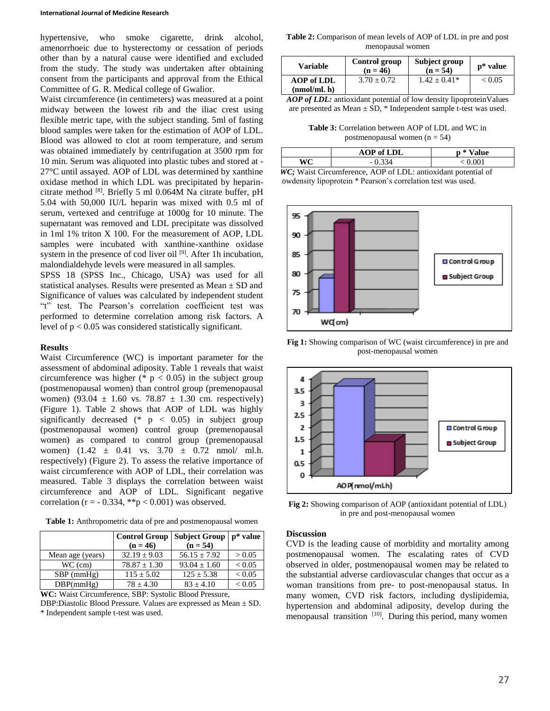hypertensive, who smoke cigarette, drink alcohol, amenorrhoeic due to hysterectomy or cessation of periods other than by a natural cause were identified and excluded from the study. The study was undertaken after obtaining consent from the participants and approval from the Ethical Committee of G. R. Medical college of Gwalior.

Waist circumference (in centimeters) was measured at a point midway between the lowest rib and the iliac crest using flexible metric tape, with the subject standing. 5ml of fasting blood samples were taken for the estimation of AOP of LDL. Blood was allowed to clot at room temperature, and serum was obtained immediately by centrifugation at 3500 rpm for 10 min. Serum was aliquoted into plastic tubes and stored at - 27°C until assayed. AOP of LDL was determined by xanthine oxidase method in which LDL was precipitated by heparincitrate method [8]. Briefly 5 ml 0.064M Na citrate buffer, pH 5.04 with 50,000 IU/L heparin was mixed with 0.5 ml of serum, vertexed and centrifuge at 1000g for 10 minute. The supernatant was removed and LDL precipitate was dissolved in 1ml 1% triton X 100. For the measurement of AOP, LDL samples were incubated with xanthine-xanthine oxidase system in the presence of cod liver oil [9]. After 1h incubation, malondialdehyde levels were measured in all samples.

SPSS 18 (SPSS Inc., Chicago, USA) was used for all statistical analyses. Results were presented as  $Mean \pm SD$  and Significance of values was calculated by independent student "t" test. The Pearson's correlation coefficient test was performed to determine correlation among risk factors. A level of p < 0.05 was considered statistically significant.

### **Results**

Waist Circumference (WC) is important parameter for the assessment of abdominal adiposity. Table 1 reveals that waist circumference was higher ( $* p < 0.05$ ) in the subject group (postmenopausal women) than control group (premenopausal women) (93.04  $\pm$  1.60 vs. 78.87  $\pm$  1.30 cm. respectively) (Figure 1). Table 2 shows that AOP of LDL was highly significantly decreased (\*  $p < 0.05$ ) in subject group (postmenopausal women) control group (premenopausal women) as compared to control group (premenopausal women)  $(1.42 \pm 0.41 \text{ vs. } 3.70 \pm 0.72 \text{ nmol/ } \text{ ml.h.})$ respectively) (Figure 2). To assess the relative importance of waist circumference with AOP of LDL, their correlation was measured. Table 3 displays the correlation between waist circumference and AOP of LDL. Significant negative correlation ( $r = -0.334$ , \*\*p < 0.001) was observed.

**Table 1:** Anthropometric data of pre and postmenopausal women

|                  |                  | Control Group   Subject Group   p* value |            |
|------------------|------------------|------------------------------------------|------------|
|                  | $(n = 46)$       | $(n = 54)$                               |            |
| Mean age (years) | $32.19 \pm 9.03$ | $56.15 \pm 7.92$                         | > 0.05     |
| $WC$ (cm)        | $78.87 \pm 1.30$ | $93.04 \pm 1.60$                         | ${}< 0.05$ |
| $SBP$ (mmHg)     | $115 \pm 5.02$   | $125 + 5.38$                             | ${}< 0.05$ |
| DBP(mmHg)        | $78 + 4.30$      | $83 \pm 4.10$                            | ${}< 0.05$ |

**WC:** Waist Circumference, SBP: Systolic Blood Pressure, DBP:Diastolic Blood Pressure. Values are expressed as Mean ± SD. \* Independent sample t-test was used.

**Table 2:** Comparison of mean levels of AOP of LDL in pre and post menopausal women

| <b>Variable</b>                   | Control group<br>$(n = 46)$ | Subject group<br>$(n = 54)$ | $p^*$ value |
|-----------------------------------|-----------------------------|-----------------------------|-------------|
| <b>AOP</b> of LDL<br>(mmol/ml, h) | $3.70 + 0.72$               | $1.42 + 0.41*$              | < 0.05      |

*AOP of LDL:* antioxidant potential of low density lipoproteinValues are presented as Mean ± SD, \* Independent sample t-test was used.

**Table 3:** Correlation between AOP of LDL and WC in postmenopausal women ( $n = 54$ )

| AOP of LDL                             | <b>p</b> * Value |
|----------------------------------------|------------------|
| $-0.334$                               | 001 - ح          |
| $W\mathcal{C}$ . Weigt $C_{\text{in}}$ |                  |

| WC; Waist Circumference, AOP of LDL: antioxidant potential of |
|---------------------------------------------------------------|
| lowdensity lipoprotein * Pearson's correlation test was used. |



**Fig 1:** Showing comparison of WC (waist circumference) in pre and post-menopausal women



**Fig 2:** Showing comparison of AOP (antioxidant potential of LDL) in pre and post-menopausal women

#### **Discussion**

CVD is the leading cause of morbidity and mortality among postmenopausal women. The escalating rates of CVD observed in older, postmenopausal women may be related to the substantial adverse cardiovascular changes that occur as a woman transitions from pre- to post-menopausal status. In many women, CVD risk factors, including dyslipidemia, hypertension and abdominal adiposity, develop during the menopausal transition [10]. During this period, many women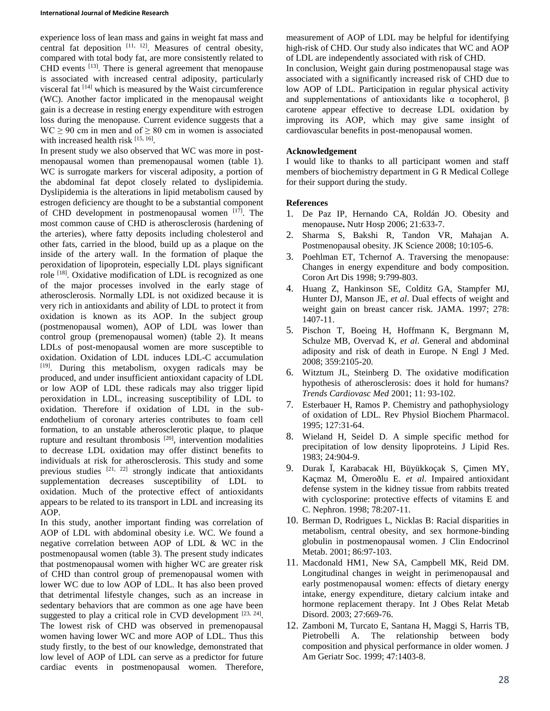experience loss of lean mass and gains in weight fat mass and central fat deposition  $[11, 12]$ . Measures of central obesity, compared with total body fat, are more consistently related to CHD events [13]. There is general agreement that menopause is associated with increased central adiposity, particularly visceral fat [14] which is measured by the Waist circumference (WC). Another factor implicated in the menopausal weight gain is a decrease in resting energy expenditure with estrogen loss during the menopause. Current evidence suggests that a  $WC \ge 90$  cm in men and of  $\ge 80$  cm in women is associated with increased health risk  $[15, 16]$ .

In present study we also observed that WC was more in postmenopausal women than premenopausal women (table 1). WC is surrogate markers for visceral adiposity, a portion of the abdominal fat depot closely related to dyslipidemia. Dyslipidemia is the alterations in lipid metabolism caused by estrogen deficiency are thought to be a substantial component of CHD development in postmenopausal women  $[17]$ . The most common cause of CHD is atherosclerosis (hardening of the arteries), where fatty deposits including cholesterol and other fats, carried in the blood, build up as a plaque on the inside of the artery wall. In the formation of plaque the peroxidation of lipoprotein, especially LDL plays significant role [18]. Oxidative modification of LDL is recognized as one of the major processes involved in the early stage of atherosclerosis. Normally LDL is not oxidized because it is very rich in antioxidants and ability of LDL to protect it from oxidation is known as its AOP. In the subject group (postmenopausal women), AOP of LDL was lower than control group (premenopausal women) (table 2). It means LDLs of post-menopausal women are more susceptible to oxidation. Oxidation of LDL induces LDL-C accumulation [19]. During this metabolism, oxygen radicals may be produced, and under insufficient antioxidant capacity of LDL or low AOP of LDL these radicals may also trigger lipid peroxidation in LDL, increasing susceptibility of LDL to oxidation. Therefore if oxidation of LDL in the subendothelium of coronary arteries contributes to foam cell formation, to an unstable atherosclerotic plaque, to plaque rupture and resultant thrombosis<sup>[20]</sup>, intervention modalities to decrease LDL oxidation may offer distinct benefits to individuals at risk for atherosclerosis. This study and some previous studies  $[21, 22]$  strongly indicate that antioxidants supplementation decreases susceptibility of LDL to oxidation. Much of the protective effect of antioxidants appears to be related to its transport in LDL and increasing its AOP.

In this study, another important finding was correlation of AOP of LDL with abdominal obesity i.e. WC. We found a negative correlation between AOP of LDL & WC in the postmenopausal women (table 3). The present study indicates that postmenopausal women with higher WC are greater risk of CHD than control group of premenopausal women with lower WC due to low AOP of LDL. It has also been proved that detrimental lifestyle changes, such as an increase in sedentary behaviors that are common as one age have been suggested to play a critical role in CVD development  $[23, 24]$ . The lowest risk of CHD was observed in premenopausal women having lower WC and more AOP of LDL. Thus this study firstly, to the best of our knowledge, demonstrated that low level of AOP of LDL can serve as a predictor for future cardiac events in postmenopausal women. Therefore,

measurement of AOP of LDL may be helpful for identifying high-risk of CHD. Our study also indicates that WC and AOP of LDL are independently associated with risk of CHD.

In conclusion, Weight gain during postmenopausal stage was associated with a significantly increased risk of CHD due to low AOP of LDL. Participation in regular physical activity and supplementations of antioxidants like  $\alpha$  tocopherol,  $\beta$ carotene appear effective to decrease LDL oxidation by improving its AOP, which may give same insight of cardiovascular benefits in post-menopausal women.

#### **Acknowledgement**

I would like to thanks to all participant women and staff members of biochemistry department in G R Medical College for their support during the study.

#### **References**

- 1. De Paz IP, Hernando CA, Roldán JO. Obesity and menopause**.** Nutr Hosp 2006; 21:633-7.
- 2. Sharma S, Bakshi R, Tandon VR, Mahajan A. Postmenopausal obesity. JK Science 2008; 10:105-6.
- 3. Poehlman ET, Tchernof A. Traversing the menopause: Changes in energy expenditure and body composition. Coron Art Dis 1998; 9:799-803.
- 4. Huang Z, Hankinson SE, Colditz GA, Stampfer MJ, Hunter DJ, Manson JE, *et al*. Dual effects of weight and weight gain on breast cancer risk. JAMA. 1997; 278: 1407-11.
- 5. Pischon T, Boeing H, Hoffmann K, Bergmann M, Schulze MB, Overvad K, *et al*. General and abdominal adiposity and risk of death in Europe. N Engl J Med. 2008; 359:2105-20.
- 6. Witztum JL, Steinberg D. The oxidative modification hypothesis of atherosclerosis: does it hold for humans? *Trends Cardiovasc Med* 2001; 11: 93-102.
- 7. Esterbauer H, Ramos P. Chemistry and pathophysiology of oxidation of LDL. Rev Physiol Biochem Pharmacol. 1995; 127:31-64.
- 8. Wieland H, Seidel D. A simple specific method for precipitation of low density lipoproteins. J Lipid Res. 1983; 24:904-9.
- 9. Durak Ï, Karabacak HI, Büyükkoçak S, Çimen MY, Kaçmaz M, Ömeroðlu E. *et al*. Impaired antioxidant defense system in the kidney tissue from rabbits treated with cyclosporine: protective effects of vitamins E and C. Nephron. 1998; 78:207-11.
- 10. Berman D, Rodrigues L, Nicklas B: Racial disparities in metabolism, central obesity, and sex hormone-binding globulin in postmenopausal women. J Clin Endocrinol Metab. 2001; 86:97-103.
- 11. Macdonald HM1, New SA, Campbell MK, Reid DM. Longitudinal changes in weight in perimenopausal and early postmenopausal women: effects of dietary energy intake, energy expenditure, dietary calcium intake and hormone replacement therapy. Int J Obes Relat Metab Disord. 2003; 27:669-76.
- 12. Zamboni M, Turcato E, Santana H, Maggi S, Harris TB, Pietrobelli A. The relationship between body composition and physical performance in older women. J Am Geriatr Soc. 1999; 47:1403-8.